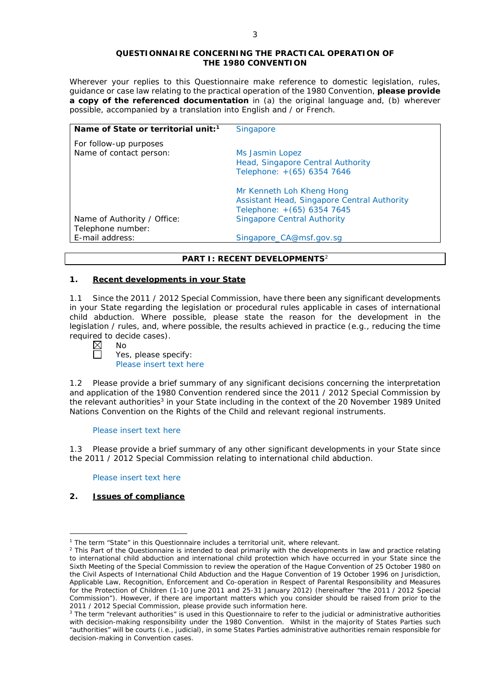### **QUESTIONNAIRE CONCERNING THE PRACTICAL OPERATION OF THE 1980 CONVENTION**

*Wherever your replies to this Questionnaire make reference to domestic legislation, rules, guidance or case law relating to the practical operation of the 1980 Convention, please provide a copy of the referenced documentation in (a) the original language and, (b) wherever possible, accompanied by a translation into English and / or French.* 

| Name of State or territorial unit: <sup>1</sup> | <b>Singapore</b>                                     |
|-------------------------------------------------|------------------------------------------------------|
| For follow-up purposes                          |                                                      |
| Name of contact person:                         | Ms Jasmin Lopez<br>Head, Singapore Central Authority |
|                                                 | Telephone: +(65) 6354 7646                           |
|                                                 | Mr Kenneth Loh Kheng Hong                            |
|                                                 | Assistant Head, Singapore Central Authority          |
|                                                 | Telephone: +(65) 6354 7645                           |
| Name of Authority / Office:                     | <b>Singapore Central Authority</b>                   |
| Telephone number:                               |                                                      |
| E-mail address:                                 | Singapore CA@msf.gov.sg                              |

### **PART I: RECENT DEVELOPMENTS**<sup>2</sup>

### **1. Recent developments in your State**

1.1 Since the 2011 / 2012 Special Commission, have there been any significant developments in your State regarding the legislation or procedural rules applicable in cases of international child abduction. Where possible, please state the reason for the development in the legislation / rules, and, where possible, the results achieved in practice (*e.g.*, reducing the time required to decide cases).

| Ί | N۵ |
|---|----|
|   |    |

Yes, please specify: Please insert text here

1.2 Please provide a brief summary of any significant decisions concerning the interpretation and application of the 1980 Convention rendered since the 2011 / 2012 Special Commission by the relevant authorities<sup>3</sup> in your State including in the context of the 20 November 1989 United Nations Convention on the Rights of the Child and relevant regional instruments.

Please insert text here

1.3 Please provide a brief summary of any other significant developments in your State since the 2011 / 2012 Special Commission relating to international child abduction.

Please insert text here

## **2. Issues of compliance**

<u>.</u>

<sup>&</sup>lt;sup>1</sup> The term "State" in this Questionnaire includes a territorial unit, where relevant.

 $<sup>2</sup>$  This Part of the Questionnaire is intended to deal primarily with the developments in law and practice relating</sup> to international child abduction and international child protection which have occurred in your State since the Sixth Meeting of the Special Commission to review the operation of the *Hague Convention of 25 October 1980 on the Civil Aspects of International Child Abduction* and the *Hague Convention of 19 October 1996 on Jurisdiction, Applicable Law, Recognition, Enforcement and Co-operation in Respect of Parental Responsibility and Measures for the Protection of Children* (1-10 June 2011 and 25-31 January 2012) (hereinafter "the 2011 / 2012 Special Commission"). However, if there are important matters which you consider should be raised from *prior to* the 2011 / 2012 Special Commission, please provide such information here.

<sup>&</sup>lt;sup>3</sup> The term "relevant authorities" is used in this Questionnaire to refer to the judicial or administrative authorities with decision-making responsibility under the 1980 Convention. Whilst in the majority of States Parties such "authorities" will be courts (*i.e.*, judicial), in some States Parties administrative authorities remain responsible for decision-making in Convention cases.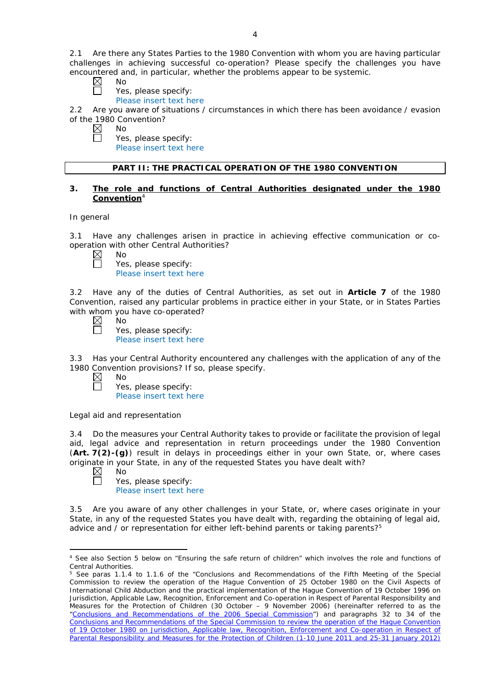2.1 Are there any States Parties to the 1980 Convention with whom you are having particular challenges in achieving successful co-operation? Please specify the challenges you have encountered and, in particular, whether the problems appear to be systemic.

- $\boxtimes$ No
	- Yes, please specify:
	- Please insert text here

2.2 Are you aware of situations / circumstances in which there has been avoidance / evasion of the 1980 Convention?

- $\boxtimes$ No
	- Yes, please specify: Please insert text here

# **PART II: THE PRACTICAL OPERATION OF THE 1980 CONVENTION**

### **3. The role and functions of Central Authorities designated under the 1980 Convention**<sup>4</sup>

# *In general*

3.1 Have any challenges arisen in practice in achieving effective communication or cooperation with other Central Authorities?

 $\boxtimes$ No  $\Box$ 

| Yes, please specify:    |
|-------------------------|
| Please insert text here |

3.2 Have any of the duties of Central Authorities, as set out in **Article 7** of the 1980 Convention, raised any particular problems in practice either in your State, or in States Parties with whom you have co-operated?

| $\bowtie$ | Nο      |  |
|-----------|---------|--|
|           | Yes, pl |  |
|           | Dlooco. |  |

lease specify: Please insert text here

3.3 Has your Central Authority encountered any challenges with the application of any of the 1980 Convention provisions? If so, please specify.

| $\boxtimes$ | Nο                      |
|-------------|-------------------------|
| $\Box$      | Yes, please specify:    |
|             | Please insert text here |

# *Legal aid and representation*

3.4 Do the measures your Central Authority takes to provide or facilitate the provision of legal aid, legal advice and representation in return proceedings under the 1980 Convention (**Art. 7(2)-(g)**) result in delays in proceedings either in your own State, or, where cases originate in your State, in any of the requested States you have dealt with?

No

Yes, please specify: Please insert text here

3.5 Are you aware of any other challenges in your State, or, where cases originate in your State, in any of the requested States you have dealt with, regarding the obtaining of legal aid, advice and / or representation for either left-behind parents or taking parents?<sup>5</sup>

<sup>&</sup>lt;u>.</u> <sup>4</sup> See also Section 5 below on "Ensuring the safe return of children" which involves the role and functions of Central Authorities.

<sup>5</sup> See paras 1.1.4 to 1.1.6 of the "Conclusions and Recommendations of the Fifth Meeting of the Special Commission to review the operation of the *Hague Convention of 25 October 1980 on the Civil Aspects of International Child Abduction* and the practical implementation of the *Hague Convention of 19 October 1996 on Jurisdiction, Applicable Law, Recognition, Enforcement and Co-operation in Respect of Parental Responsibility and Measures for the Protection of Children* (30 October – 9 November 2006) (hereinafter referred to as the ["Conclusions and Recommendations of the 2006 Special Commission"](https://assets.hcch.net/upload/concl28sc5_e.pdf)) and paragraphs 32 to 34 of the [Conclusions and Recommendations of the Special Commission](https://assets.hcch.net/upload/wop/concl28sc6_e.pdf) to review the operation of the Hague Convention of *[19 October 1980 on Jurisdiction, Applicable law, Recognition, Enforcement](https://assets.hcch.net/upload/wop/concl28sc6_e.pdf) and Co-operation in Respect of [Parental Responsibility and Measures for the Protection of Children](https://assets.hcch.net/upload/wop/concl28sc6_e.pdf)* (1-10 June 2011 and 25-31 January 2012)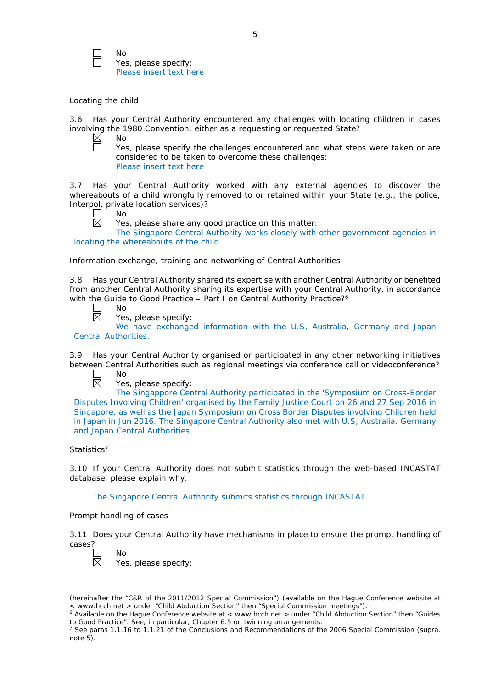No Yes, please specify: Please insert text here

# *Locating the child*

3.6 Has your Central Authority encountered any challenges with locating children in cases involving the 1980 Convention, either as a requesting or requested State?<br>  $\boxtimes$  No

No  $\Box$ 

Yes, please specify the challenges encountered and what steps were taken or are considered to be taken to overcome these challenges: Please insert text here

3.7 Has your Central Authority worked with any external agencies to discover the whereabouts of a child wrongfully removed to or retained within your State (*e.g.*, the police, Interpol, private location services)?

| л |  | <b>Service Service</b> |
|---|--|------------------------|
|   |  |                        |

 $\boxtimes$ 

Yes, please share any good practice on this matter:

The Singapore Central Authority works closely with other government agencies in locating the whereabouts of the child.

*Information exchange, training and networking of Central Authorities*

3.8 Has your Central Authority shared its expertise with another Central Authority or benefited from another Central Authority sharing its expertise with your Central Authority, in accordance with the Guide to Good Practice - Part I on Central Authority Practice?<sup>6</sup>

- $\Box$ No  $\overline{\boxtimes}$ 
	- Yes, please specify:

We have exchanged information with the U.S, Australia, Germany and Japan Central Authorities.

3.9 Has your Central Authority organised or participated in any other networking initiatives between Central Authorities such as regional meetings via conference call or videoconference?

- $\Box$ No  $\overline{\boxtimes}$ 
	- Yes, please specify:

The Singappore Central Authority participated in the 'Symposium on Cross-Border Disputes Involving Children' organised by the Family Justice Court on 26 and 27 Sep 2016 in Singapore, as well as the Japan Symposium on Cross Border Disputes involving Children held in Japan in Jun 2016. The Singapore Central Authority also met with U.S, Australia, Germany and Japan Central Authorities.

# *Statistics*<sup>7</sup>

3.10 If your Central Authority does not submit statistics through the web-based INCASTAT database, please explain why.

The Singapore Central Authority submits statistics through INCASTAT.

## *Prompt handling of cases*

3.11 Does your Central Authority have mechanisms in place to ensure the prompt handling of cases?

-

No Yes, please specify:

<sup>(</sup>hereinafter the "C&R of the 2011/2012 Special Commission") (available on the Hague Conference website at < www.hcch.net > under "Child Abduction Section" then "Special Commission meetings").

 $6$  Available on the Hague Conference website at < www.hcch.net > under "Child Abduction Section" then "Guides to Good Practice". See, in particular, Chapter 6.5 on twinning arrangements.

<sup>7</sup> See paras 1.1.16 to 1.1.21 of the Conclusions and Recommendations of the 2006 Special Commission (*supra.*  note  $5$ ).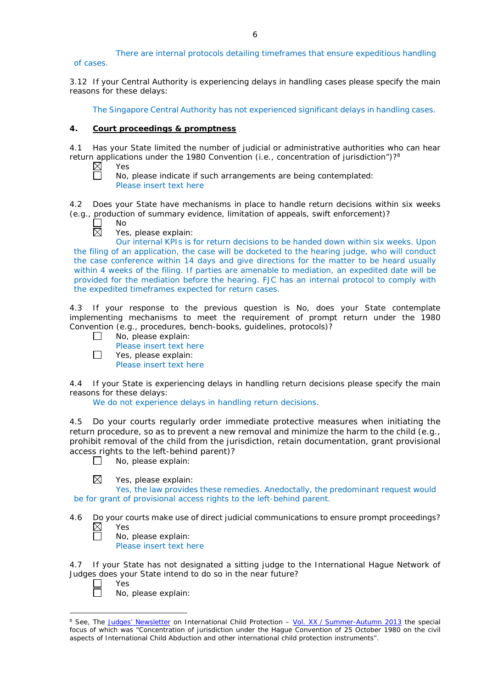There are internal protocols detailing timeframes that ensure expeditious handling of cases.

3.12 If your Central Authority is experiencing delays in handling cases please specify the main reasons for these delays:

The Singapore Central Authority has not experienced significant delays in handling cases.

# **4. Court proceedings & promptness**

4.1 Has your State limited the number of judicial or administrative authorities who can hear return applications under the 1980 Convention (*i.e.*, concentration of jurisdiction")?<sup>8</sup><br>
N Yes Yes

 $\overline{\Box}$ 

No, please indicate if such arrangements are being contemplated: Please insert text here

4.2 Does your State have mechanisms in place to handle return decisions within six weeks (*e.g.*, production of summary evidence, limitation of appeals, swift enforcement)?

No  $\boxtimes$ 

 $\Box$ 

Yes, please explain:

Our internal KPIs is for return decisions to be handed down within six weeks. Upon the filing of an application, the case will be docketed to the hearing judge, who will conduct the case conference within 14 days and give directions for the matter to be heard usually within 4 weeks of the filing. If parties are amenable to mediation, an expedited date will be provided for the mediation before the hearing. FJC has an internal protocol to comply with the expedited timeframes expected for return cases.

4.3 If your response to the previous question is No, does your State contemplate implementing mechanisms to meet the requirement of prompt return under the 1980 Convention (*e.g.*, procedures, bench-books, guidelines, protocols)?

- No, please explain:  $\perp$ 
	- Please insert text here
	- Yes, please explain:
	- Please insert text here

4.4 If your State is experiencing delays in handling return decisions please specify the main reasons for these delays:

We do not experience delays in handling return decisions.

4.5 Do your courts regularly order immediate protective measures when initiating the return procedure, so as to prevent a new removal and minimize the harm to the child (*e.g.*, prohibit removal of the child from the jurisdiction, retain documentation, grant provisional access rights to the left-behind parent)?

 $\Box$ No, please explain:

 $\boxtimes$ Yes, please explain:

Yes, the law provides these remedies. Anedoctally, the predominant request would be for grant of provisional access rights to the left-behind parent.

- 4.6 Do your courts make use of direct judicial communications to ensure prompt proceedings?  $\boxtimes$ Yes 戸
	- No, please explain:
		- Please insert text here

4.7 If your State has not designated a sitting judge to the International Hague Network of Judges does your State intend to do so in the near future?

Yes No, please explain:

-

<sup>8</sup> See, *The [Judges' Newsletter](https://www.hcch.net/en/instruments/conventions/publications2/judges-newsletter)* on International Child Protection – Vol. XX / [Summer-Autumn 2013](https://assets.hcch.net/upload/newsletter/nl2013tome20en.pdf) the special focus of which was "Concentration of jurisdiction under the *Hague Convention of 25 October 1980 on the civil aspects of International Child Abduction* and other international child protection instruments".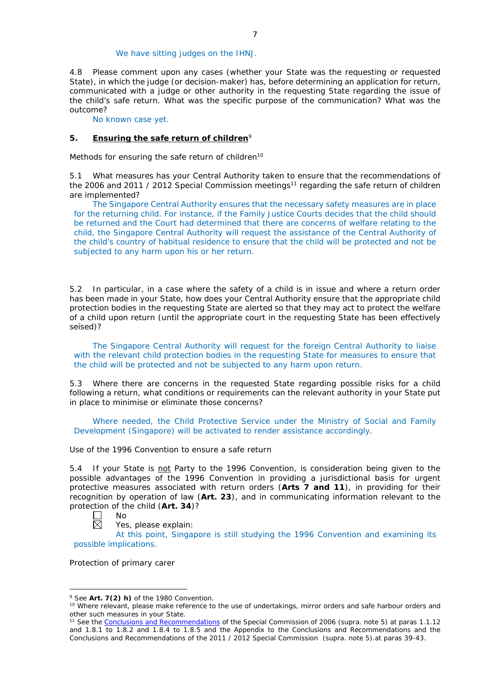### We have sitting judges on the IHNJ.

4.8 Please comment upon any cases (whether your State was the requesting or requested State), in which the judge (or decision-maker) has, before determining an application for return, communicated with a judge or other authority in the requesting State regarding the issue of the child's safe return. What was the specific purpose of the communication? What was the outcome?

No known case yet.

## **5. Ensuring the safe return of children**<sup>9</sup>

*Methods for ensuring the safe return of children*<sup>10</sup>

5.1 What measures has your Central Authority taken to ensure that the recommendations of the 2006 and 2011 / 2012 Special Commission meetings<sup>11</sup> regarding the safe return of children are implemented?

The Singapore Central Authority ensures that the necessary safety measures are in place for the returning child. For instance, if the Family Justice Courts decides that the child should be returned and the Court had determined that there are concerns of welfare relating to the child, the Singapore Central Authority will request the assistance of the Central Authority of the child's country of habitual residence to ensure that the child will be protected and not be subjected to any harm upon his or her return.

5.2 In particular, in a case where the safety of a child is in issue and where a return order has been made in your State, how does your Central Authority ensure that the appropriate child protection bodies in the *requesting* State are alerted so that they may act to protect the welfare of a child upon return (until the appropriate court in the requesting State has been effectively seised)?

The Singapore Central Authority will request for the foreign Central Authority to liaise with the relevant child protection bodies in the requesting State for measures to ensure that the child will be protected and not be subjected to any harm upon return.

5.3 Where there are concerns in the requested State regarding possible risks for a child following a return, what conditions or requirements can the relevant authority in your State put in place to minimise or eliminate those concerns?

Where needed, the Child Protective Service under the Ministry of Social and Family Development (Singapore) will be activated to render assistance accordingly.

#### *Use of the 1996 Convention to ensure a safe return*

5.4 If your State is not Party to the 1996 Convention, is consideration being given to the possible advantages of the 1996 Convention in providing a jurisdictional basis for urgent protective measures associated with return orders (**Arts 7 and 11**), in providing for their recognition by operation of law (**Art. 23**), and in communicating information relevant to the protection of the child (**Art. 34**)?



-

Yes, please explain:

At this point, Singapore is still studying the 1996 Convention and examining its possible implications.

*Protection of primary carer*

<sup>9</sup> See **Art. 7(2)** *h)* of the 1980 Convention.

<sup>&</sup>lt;sup>10</sup> Where relevant, please make reference to the use of undertakings, mirror orders and safe harbour orders and other such measures in your State.

<sup>11</sup> See the [Conclusions and Recommendations](https://assets.hcch.net/upload/concl28sc5_e.pdf) of the Special Commission of 2006 (*supra.* note 5) at paras 1.1.12 and 1.8.1 to 1.8.2 and 1.8.4 to 1.8.5 and the Appendix to the Conclusions and Recommendations and the [Conclusions and Recommendations of the 2011](https://assets.hcch.net/upload/wop/concl28sc6_e.pdf) / 2012 Special Commission (*supra.* note 5).at paras 39-43.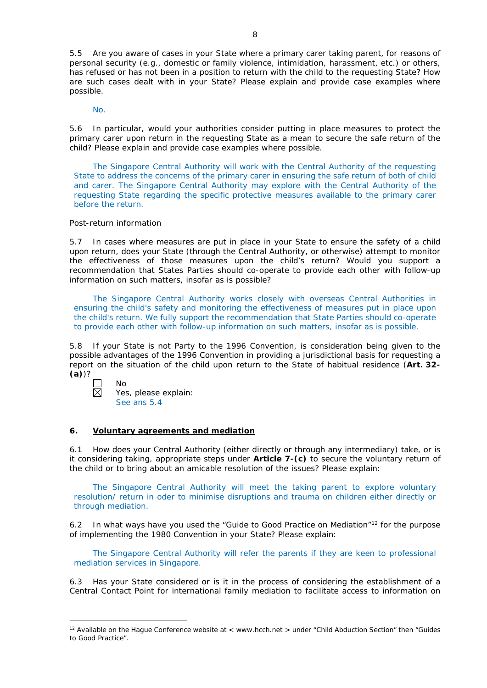5.5 Are you aware of cases in your State where a primary carer taking parent, for reasons of personal security (*e.g.*, domestic or family violence, intimidation, harassment, etc.) or others, has refused or has not been in a position to return with the child to the requesting State? How are such cases dealt with in your State? Please explain and provide case examples where possible.

No.

5.6 In particular, would your authorities consider putting in place measures to protect the primary carer upon return in the requesting State as a mean to secure the safe return of the child? Please explain and provide case examples where possible.

The Singapore Central Authority will work with the Central Authority of the requesting State to address the concerns of the primary carer in ensuring the safe return of both of child and carer. The Singapore Central Authority may explore with the Central Authority of the requesting State regarding the specific protective measures available to the primary carer before the return.

### *Post-return information*

5.7 In cases where measures are put in place in your State to ensure the safety of a child upon return, does your State (through the Central Authority, or otherwise) attempt to monitor the effectiveness of those measures upon the child's return? Would you support a recommendation that States Parties should co-operate to provide each other with follow-up information on such matters, insofar as is possible?

The Singapore Central Authority works closely with overseas Central Authorities in ensuring the child's safety and monitoring the effectiveness of measures put in place upon the child's return. We fully support the recommendation that State Parties should co-operate to provide each other with follow-up information on such matters, insofar as is possible.

5.8 If your State is not Party to the 1996 Convention, is consideration being given to the possible advantages of the 1996 Convention in providing a jurisdictional basis for requesting a report on the situation of the child upon return to the State of habitual residence (**Art. 32- (a)**)?

 $\boxtimes$ 

-

Yes, please explain:

See ans 5.4

No

#### **6. Voluntary agreements and mediation**

6.1 How does your Central Authority (either directly or through any intermediary) take, or is it considering taking, appropriate steps under **Article 7-(c)** to secure the voluntary return of the child or to bring about an amicable resolution of the issues? Please explain:

The Singapore Central Authority will meet the taking parent to explore voluntary resolution/ return in oder to minimise disruptions and trauma on children either directly or through mediation.

6.2 In what ways have you used the "Guide to Good Practice on Mediation"12 for the purpose of implementing the 1980 Convention in your State? Please explain:

The Singapore Central Authority will refer the parents if they are keen to professional mediation services in Singapore.

6.3 Has your State considered or is it in the process of considering the establishment of a Central Contact Point for international family mediation to facilitate access to information on

<sup>&</sup>lt;sup>12</sup> Available on the Hague Conference website at < www.hcch.net > under "Child Abduction Section" then "Guides to Good Practice".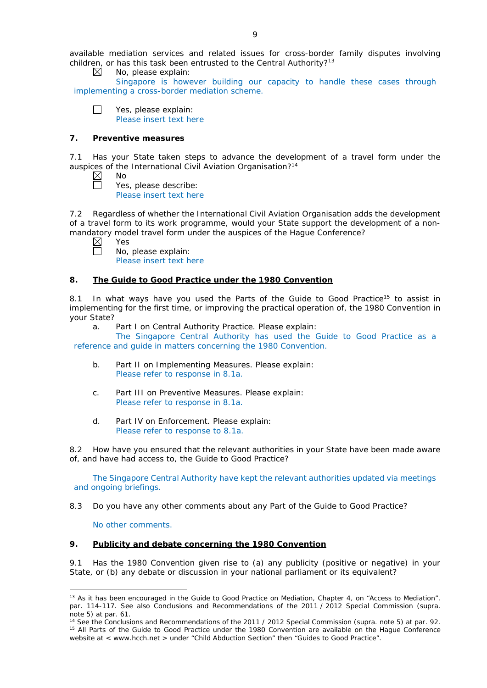available mediation services and related issues for cross-border family disputes involving children, or has this task been entrusted to the Central Authority?<sup>13</sup>

No, please explain: ⊠

Singapore is however building our capacity to handle these cases through implementing a cross-border mediation scheme.

 $\Box$ Yes, please explain: Please insert text here

# **7. Preventive measures**

7.1 Has your State taken steps to advance the development of a travel form under the auspices of the International Civil Aviation Organisation?<sup>14</sup>

| חוח |
|-----|
|     |

Yes, please describe: Please insert text here

7.2 Regardless of whether the International Civil Aviation Organisation adds the development of a travel form to its work programme, would your State support the development of a nonmandatory model travel form under the auspices of the Hague Conference?<br>  $\boxtimes$  Yes

- Yes  $\Box$ 
	- No, please explain: Please insert text here

# **8. The Guide to Good Practice under the 1980 Convention**

8.1 In what ways have you used the Parts of the Guide to Good Practice<sup>15</sup> to assist in implementing for the first time, or improving the practical operation of, the 1980 Convention in your State?

a. Part I on Central Authority Practice. Please explain:

The Singapore Central Authority has used the Guide to Good Practice as a reference and guide in matters concerning the 1980 Convention.

- b. Part II on Implementing Measures. Please explain: Please refer to response in 8.1a.
- c. Part III on Preventive Measures. Please explain: Please refer to response in 8.1a.
- d. Part IV on Enforcement. Please explain: Please refer to response to 8.1a.

8.2 How have you ensured that the relevant authorities in your State have been made aware of, and have had access to, the Guide to Good Practice?

The Singapore Central Authority have kept the relevant authorities updated via meetings and ongoing briefings.

8.3 Do you have any other comments about any Part of the Guide to Good Practice?

No other comments.

-

# **9. Publicity and debate concerning the 1980 Convention**

9.1 Has the 1980 Convention given rise to (a) any publicity (positive or negative) in your State, or (b) any debate or discussion in your national parliament or its equivalent?

<sup>&</sup>lt;sup>13</sup> As it has been encouraged in the Guide to Good Practice on Mediation, Chapter 4, on "Access to Mediation". par. 114-117. See also [Conclusions and Recommendations of the 2011](https://assets.hcch.net/upload/wop/concl28sc6_e.pdf) / 2012 Special Commission (*supra.* note 5) at par. 61.

<sup>14</sup> See the [Conclusions and Recommendations of the 2011](https://assets.hcch.net/upload/wop/concl28sc6_e.pdf) / 2012 Special Commission (*supra.* note 5) at par. 92. <sup>15</sup> All Parts of the Guide to Good Practice under the 1980 Convention are available on the Hague Conference website at < www.hcch.net > under "Child Abduction Section" then "Guides to Good Practice".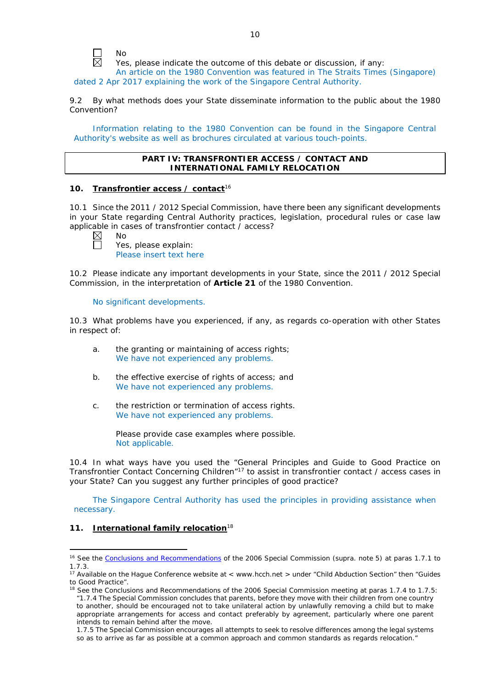

Yes, please indicate the outcome of this debate or discussion, if any:

An article on the 1980 Convention was featured in The Straits Times (Singapore) dated 2 Apr 2017 explaining the work of the Singapore Central Authority.

9.2 By what methods does your State disseminate information to the public about the 1980 Convention?

Information relating to the 1980 Convention can be found in the Singapore Central Authority's website as well as brochures circulated at various touch-points.

### **PART IV: TRANSFRONTIER ACCESS / CONTACT AND INTERNATIONAL FAMILY RELOCATION**

### **10. Transfrontier access / contact**<sup>16</sup>

10.1 Since the 2011 / 2012 Special Commission, have there been any significant developments in your State regarding Central Authority practices, legislation, procedural rules or case law applicable in cases of transfrontier contact / access?

No

Yes, please explain: Please insert text here

10.2 Please indicate any important developments in your State, since the 2011 / 2012 Special Commission, in the interpretation of **Article 21** of the 1980 Convention.

No significant developments.

10.3 What problems have you experienced, if any, as regards co-operation with other States in respect of:

- a. the granting or maintaining of access rights; We have not experienced any problems.
- b. the effective exercise of rights of access; and We have not experienced any problems.
- c. the restriction or termination of access rights. We have not experienced any problems.

Please provide case examples where possible. Not applicable.

10.4 In what ways have you used the "General Principles and Guide to Good Practice on Transfrontier Contact Concerning Children"17 to assist in transfrontier contact / access cases in your State? Can you suggest any further principles of good practice?

The Singapore Central Authority has used the principles in providing assistance when necessary.

# **11. International family relocation**<sup>18</sup>

<u>.</u>

<sup>&</sup>lt;sup>16</sup> See the [Conclusions and Recommendations](https://assets.hcch.net/upload/concl28sc5_e.pdf) of the 2006 Special Commission (supra. note 5) at paras 1.7.1 to 1.7.3.

<sup>&</sup>lt;sup>17</sup> Available on the Hague Conference website at < www.hcch.net > under "Child Abduction Section" then "Guides to Good Practice".

<sup>&</sup>lt;sup>18</sup> See the Conclusions and Recommendations of the 2006 Special Commission meeting at paras 1.7.4 to 1.7.5: *"*1.7.4 The Special Commission concludes that parents, before they move with their children from one country to another, should be encouraged not to take unilateral action by unlawfully removing a child but to make appropriate arrangements for access and contact preferably by agreement, particularly where one parent intends to remain behind after the move.

<sup>1.7.5</sup> The Special Commission encourages all attempts to seek to resolve differences among the legal systems so as to arrive as far as possible at a common approach and common standards as regards relocation."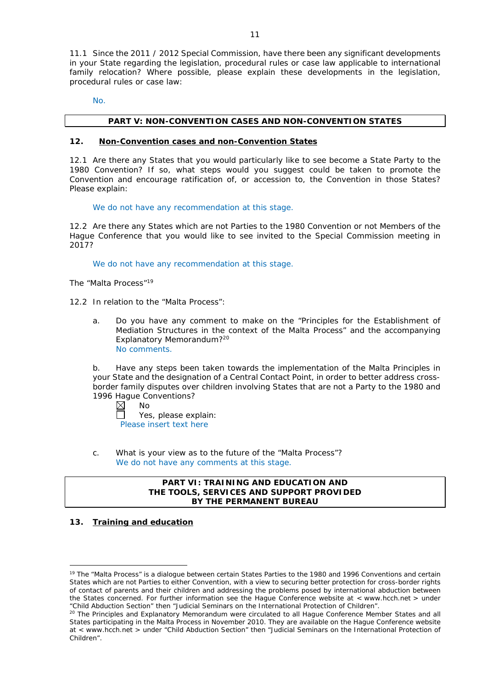11.1 Since the 2011 / 2012 Special Commission, have there been any significant developments in your State regarding the legislation, procedural rules or case law applicable to international family relocation? Where possible, please explain these developments in the legislation, procedural rules or case law:

No.

### **PART V: NON-CONVENTION CASES AND NON-CONVENTION STATES**

#### **12. Non-Convention cases and non-Convention States**

12.1 Are there any States that you would particularly like to see become a State Party to the 1980 Convention? If so, what steps would you suggest could be taken to promote the Convention and encourage ratification of, or accession to, the Convention in those States? Please explain:

We do not have any recommendation at this stage.

12.2 Are there any States which are not Parties to the 1980 Convention or not Members of the Hague Conference that you would like to see invited to the Special Commission meeting in 2017?

We do not have any recommendation at this stage.

*The "Malta Process"*<sup>19</sup>

12.2 In relation to the "Malta Process":

a. Do you have any comment to make on the "Principles for the Establishment of Mediation Structures in the context of the Malta Process" and the accompanying Explanatory Memorandum?20 No comments.

b. Have any steps been taken towards the implementation of the Malta Principles in your State and the designation of a Central Contact Point, in order to better address crossborder family disputes over children involving States that are not a Party to the 1980 and 1996 Hague Conventions?

 $\boxtimes$ No Yes, please explain: Please insert text here

c. What is your view as to the future of the "Malta Process"? We do not have any comments at this stage.

## **PART VI: TRAINING AND EDUCATION AND THE TOOLS, SERVICES AND SUPPORT PROVIDED BY THE PERMANENT BUREAU**

# **13. Training and education**

<u>.</u>

<sup>&</sup>lt;sup>19</sup> The "Malta Process" is a dialogue between certain States Parties to the 1980 and 1996 Conventions and certain States which are not Parties to either Convention, with a view to securing better protection for cross-border rights of contact of parents and their children and addressing the problems posed by international abduction between the States concerned. For further information see the Hague Conference website at < www.hcch.net > under "Child Abduction Section" then "Judicial Seminars on the International Protection of Children".

<sup>&</sup>lt;sup>20</sup> The Principles and Explanatory Memorandum were circulated to all Hague Conference Member States and all States participating in the Malta Process in November 2010. They are available on the Hague Conference website at < www.hcch.net > under "Child Abduction Section" then "Judicial Seminars on the International Protection of Children".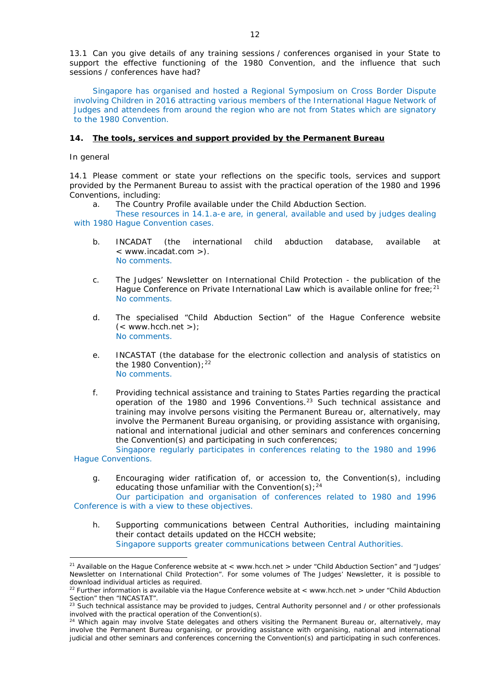13.1 Can you give details of any training sessions / conferences organised in your State to support the effective functioning of the 1980 Convention, and the influence that such sessions / conferences have had?

Singapore has organised and hosted a Regional Symposium on Cross Border Dispute involving Children in 2016 attracting various members of the International Hague Network of Judges and attendees from around the region who are not from States which are signatory to the 1980 Convention.

### **14. The tools, services and support provided by the Permanent Bureau**

*In general*

<u>.</u>

14.1 Please comment or state your reflections on the specific tools, services and support provided by the Permanent Bureau to assist with the practical operation of the 1980 and 1996 Conventions, including:

a. The Country Profile available under the Child Abduction Section.

These resources in 14.1.a-e are, in general, available and used by judges dealing with 1980 Hague Convention cases.

- b. INCADAT (the international child abduction database, available at < www.incadat.com >). No comments.
- c. *The Judges' Newsletter* on International Child Protection the publication of the Hague Conference on Private International Law which is available online for free;<sup>21</sup> No comments.
- d. The specialised "Child Abduction Section" of the Hague Conference website  $(<$  www.hcch.net >); No comments.
- e. INCASTAT (the database for the electronic collection and analysis of statistics on the 1980 Convention):  $22$ No comments.
- f. Providing technical assistance and training to States Parties regarding the practical operation of the 1980 and 1996 Conventions.23 Such technical assistance and training may involve persons visiting the Permanent Bureau or, alternatively, may involve the Permanent Bureau organising, or providing assistance with organising, national and international judicial and other seminars and conferences concerning the Convention(s) and participating in such conferences;

Singapore regularly participates in conferences relating to the 1980 and 1996 Hague Conventions.

g. Encouraging wider ratification of, or accession to, the Convention(s), including educating those unfamiliar with the Convention(s);  $24$ 

Our participation and organisation of conferences related to 1980 and 1996 Conference is with a view to these objectives.

h. Supporting communications between Central Authorities, including maintaining their contact details updated on the HCCH website; Singapore supports greater communications between Central Authorities.

<sup>&</sup>lt;sup>21</sup> Available on the Hague Conference website at < www.hcch.net > under "Child Abduction Section" and "Judges" Newsletter on International Child Protection". For some volumes of *The Judges' Newsletter*, it is possible to download individual articles as required.

<sup>22</sup> Further information is available via the Hague Conference website at < www.hcch.net > under "Child Abduction Section" then "INCASTAT".

 $^{23}$  Such technical assistance may be provided to judges, Central Authority personnel and / or other professionals involved with the practical operation of the Convention(s).

<sup>&</sup>lt;sup>24</sup> Which again may involve State delegates and others visiting the Permanent Bureau or, alternatively, may involve the Permanent Bureau organising, or providing assistance with organising, national and international judicial and other seminars and conferences concerning the Convention(s) and participating in such conferences.